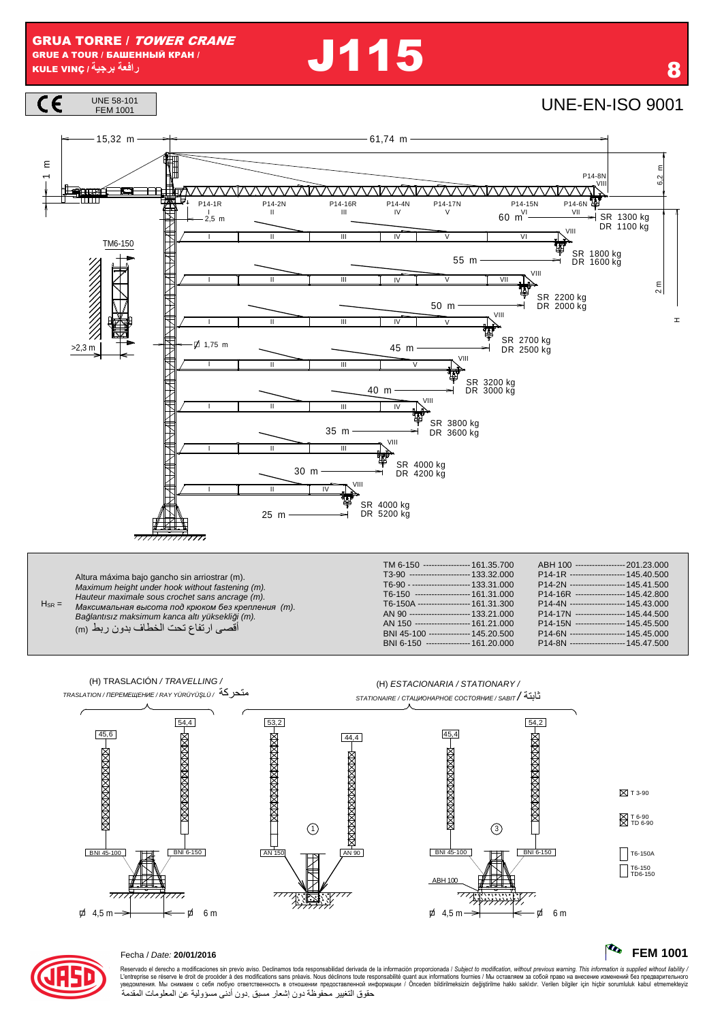**J115** 



Altura máxima bajo gancho sin arriostrar (m). Maximum height under hook without fastening (m). Hauteur maximale sous crochet sans ancrage (m).<br>Максимальная высота под крюком без крепления (m).<br>Ваğlantısız maksimum kanca altı yüksekliği (m).  $H_{SR} =$ أقصى ارتفاع تحت الخطاف بدون ربط (m)

| T3-90 ---------------------- 133.32.000  | P14-1R -------------------- 145.40.500 |
|------------------------------------------|----------------------------------------|
| T6-90 - --------------------- 133.31.000 | P14-2N -------------------- 145.41.500 |
| T6-150 -------------------- 161.31.000   | P14-16R ------------------ 145.42.800  |
| T6-150A ------------------- 161.31.300   | P14-4N -------------------- 145.43.000 |
| AN 90 ---------------------- 133.21.000  | P14-17N ----------------- 145.44.500   |
| AN 150 ------------------- 161.21.000    | P14-15N ------------------ 145.45.500  |
| BNI 45-100 --------------- 145.20.500    | P14-6N -------------------- 145.45.000 |
| BNI 6-150 ---------------- 161.20.000    | P14-8N -------------------- 145.47.500 |



#### **The FEM 1001**



### Fecha / Date: 20/01/2016

Reservado el derecho a modificaciones sin previo aviso. Declinamos toda responsabilidad derivada de la información proporcionada / Subject to modification, without previous warning. This information is supplied without li حقوق التغيير محفوظة دون إشعار مسبق دون أدنى مسؤولية عن المعلومات المقدمة

8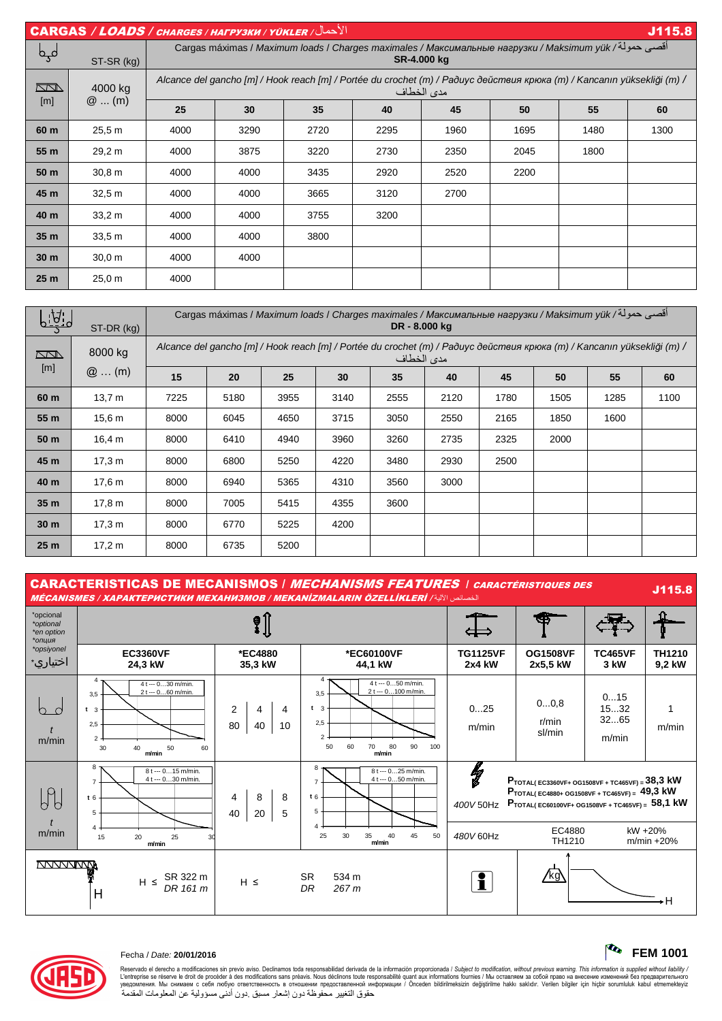CARGAS / LOADS / CHARGES / НАГРУЗКИ / YÜKLER / ل في الأحد التي يتم التي تقدم التي تقدم التي تقدم التي تقدم التي تقدم التي تقدم التي تقدم التي تقدم التي تقدم ال Cargas máximas / Maximum loads / Charges maximales / *Максимальные нагрузки* / Maksimum yük / & 12أ لمحل **SR-4.000 kg**  ST-SR (kg) Alcance del gancho [m] / Hook reach [m] / Portée du crochet (m) / *Радиус действия крюка* (m) / Kancanın yüksekli*ğ*i (m) /  $\overline{\mathbb{Z}}$ 4000 kg مدى الخطاف [m] @ ... (m) **25 30 35 40 45 50 55 60 60 m** | 25,5 m | 4000 | 3290 | 2720 | 2295 | 1960 | 1695 | 1480 | 1300 **55 m** | 29,2 m | 4000 | 3875 | 3220 | 2730 | 2350 | 2045 | 1800 | ——— **50 m** | 30,8 m | 4000 | 4000 | 3435 | 2920 | 2520 | 2200 | ——— | ——— **45 m** | 32,5 m | 4000 | 4000 | 3665 | 3120 | 2700 | ——— | ——— | ——— **40 m** | 33,2 m | 4000 | 4000 | 3755 | 3200 | ——— | ——— | ——— | ——— **35 m** | 33,5 m | 4000 | 4000 | 3800 | ——— | ——— | ——— | ——— | ——— **30 m** | 30,0 m | 4000 | 4000 | ——— | ——— | ——— | ——— | ——— | —— **25 m** | 25,0 m | 4000 | ——— | ——— | ——— | ——— | ——— | ——— | ———

| التجتا          | ST-DR (kg)        | أقصى حمولة/ Cargas máximas / Maximum loads / Charges maximales / Максимальные нагрузки / Maksimum yük<br>DR - 8,000 kg                |      |      |      |      |      |      |      |      |      |
|-----------------|-------------------|---------------------------------------------------------------------------------------------------------------------------------------|------|------|------|------|------|------|------|------|------|
| <u>NN N</u>     | 8000 kg           | Alcance del gancho [m] / Hook reach [m] / Portée du crochet (m) / Paðuyc действия крюка (m) / Kancanın yüksekliği (m) /<br>مدى الخطاف |      |      |      |      |      |      |      |      |      |
| [m]             | $@$ (m)           | 15                                                                                                                                    | 20   | 25   | 30   | 35   | 40   | 45   | 50   | 55   | 60   |
| 60 m            | 13,7 m            | 7225                                                                                                                                  | 5180 | 3955 | 3140 | 2555 | 2120 | 1780 | 1505 | 1285 | 1100 |
| 55 m            | 15.6 <sub>m</sub> | 8000                                                                                                                                  | 6045 | 4650 | 3715 | 3050 | 2550 | 2165 | 1850 | 1600 |      |
| 50 m            | 16,4 m            | 8000                                                                                                                                  | 6410 | 4940 | 3960 | 3260 | 2735 | 2325 | 2000 |      |      |
| 45 m            | 17.3 m            | 8000                                                                                                                                  | 6800 | 5250 | 4220 | 3480 | 2930 | 2500 |      |      |      |
| 40 m            | 17.6 m            | 8000                                                                                                                                  | 6940 | 5365 | 4310 | 3560 | 3000 |      |      |      |      |
| 35 <sub>m</sub> | 17,8 m            | 8000                                                                                                                                  | 7005 | 5415 | 4355 | 3600 |      |      |      |      |      |
| 30 <sub>m</sub> | 17.3 m            | 8000                                                                                                                                  | 6770 | 5225 | 4200 |      |      |      |      |      |      |
| 25 <sub>m</sub> | 17,2 m            | 8000                                                                                                                                  | 6735 | 5200 |      |      |      |      |      |      |      |

CARACTERISTICAS DE MECANISMOS / MECHANISMS FEATURES / CARACTÉRISTIQUES DES MÉCANISMES / ХАРАКТЕРИСТИКИ МЕХАНИЗМОВ / MEKANİZMALARIN ÖZELLİKLERİ / 5ا 67 الخصا J115.8

| *opcional<br>*optional<br>*en option<br>*опция |                                                                                                                    |                                            |                                                                                                                                                |                           |                                                                                                                                                                                      |                              |                         |
|------------------------------------------------|--------------------------------------------------------------------------------------------------------------------|--------------------------------------------|------------------------------------------------------------------------------------------------------------------------------------------------|---------------------------|--------------------------------------------------------------------------------------------------------------------------------------------------------------------------------------|------------------------------|-------------------------|
| *opsiyonel<br>اختياري∗                         | <b>EC3360VF</b><br>24,3 kW                                                                                         | *EC4880<br>35,3 kW                         | *EC60100VF<br>44,1 kW                                                                                                                          | <b>TG1125VF</b><br>2x4 kW | <b>OG1508VF</b><br>2x5,5 kW                                                                                                                                                          | <b>TC465VF</b><br>3 kW       | <b>TH1210</b><br>9,2 kW |
| m/min                                          | 4 t --- 030 m/min.<br>2 t --- 060 m/min.<br>3,5<br>t <sub>3</sub><br>2,5<br>$2 -$<br>30<br>40<br>50<br>60<br>m/min | $\overline{2}$<br>4<br>4<br>80<br>10<br>40 | 4<br>$4t - 0$ 50 m/min.<br>2 t --- 0100 m/min.<br>3,5<br>t <sub>3</sub><br>2,5<br>$\mathfrak{p}$<br>80<br>90<br>100<br>50<br>60<br>70<br>m/min | 025<br>m/min              | 00,8<br>r/min<br>sl/min                                                                                                                                                              | 015<br>1532<br>3265<br>m/min | m/min                   |
| $P_{o}$<br>d                                   | 8<br>8 t --- 015 m/min.<br>4 t --- 030 m/min.<br>$\overline{7}$<br>t6<br>5                                         | 8<br>8<br>4<br>40<br>5<br>20               | 8<br>8 t --- 025 m/min.<br>4 t --- 050 m/min.<br>$\overline{7}$<br>t6<br>5<br>$\boldsymbol{\Delta}$                                            | lg<br>b<br>400V 50Hz      | $P_{\text{TOTAL}}$ EC3360VF+ OG1508VF + TC465VF) = 38,3 kW<br>PTOTAL(EC4880+ OG1508VF + TC465VF) = 49,3 kW<br>$P_{\text{TOTAL}}$ (EC60100VF+ OG1508VF + TC465VF) = 58,1 kW<br>EC4880 |                              | kW +20%                 |
| m/min                                          | 20<br>25<br>15<br>30<br>m/min                                                                                      |                                            | 30<br>35<br>40<br>45<br>25<br>50<br>m/min                                                                                                      | 480V 60Hz                 | TH1210                                                                                                                                                                               |                              | m/min +20%              |
| <b>NVVVVVVVVM</b>                              | SR 322 m<br>$H \leq$<br>DR 161 m<br>H                                                                              | $H \leq$                                   | 534 m<br><b>SR</b><br>DR<br>267 <sub>m</sub>                                                                                                   | i                         | <u>/kg\</u>                                                                                                                                                                          |                              | н                       |



# Fecha / Date: **20/01/2016 FEM 1001**

Reservado el derecho a modificaciones sin previo aviso. Declinamos toda responsabilidad derivada de la información proporcionada / Subjec*t to modification, without previous warning. This information is supplied without l* حقوق التغيير محفوظة دون إشعار مسبق دون أدنى مسؤولية عن المعلومات المقدمة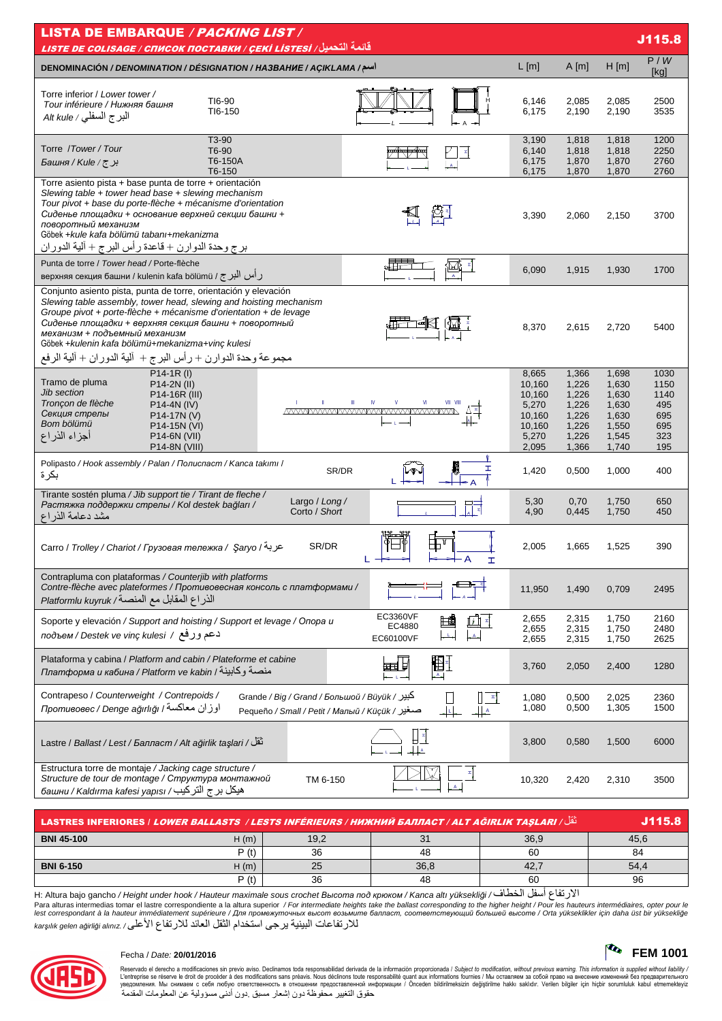| <b>LISTA DE EMBARQUE / PACKING LIST /</b><br>J115.8<br><u>قائمة التحميل/ LISTE DE COLISAGE / СПИСОК ПОСТАВКИ / ÇEKİ LİSTESİ</u>                                                                                                                                                                                                                                                                                          |                                                                          |                                                                      |                                                                      |                                                         |  |  |  |
|--------------------------------------------------------------------------------------------------------------------------------------------------------------------------------------------------------------------------------------------------------------------------------------------------------------------------------------------------------------------------------------------------------------------------|--------------------------------------------------------------------------|----------------------------------------------------------------------|----------------------------------------------------------------------|---------------------------------------------------------|--|--|--|
| DENOMINACIÓN / DENOMINATION / DÉSIGNATION / HA3BAHUE / AÇIKLAMA /سم/                                                                                                                                                                                                                                                                                                                                                     | $L$ [m]                                                                  | A[m]                                                                 | $H$ [m]                                                              | P/W<br>[kg]                                             |  |  |  |
| Torre inferior / Lower tower /<br>TI6-90<br>Tour inférieure / Нижняя башня<br>TI6-150<br>البرج السفلي / Alt kule                                                                                                                                                                                                                                                                                                         | 6,146<br>6,175                                                           | 2,085<br>2,190                                                       | 2,085<br>2,190                                                       | 2500<br>3535                                            |  |  |  |
| T3-90<br>Torre / Tower / Tour<br>T6-90<br>T6-150A<br>Башня / Киle / ट्र<br>T6-150                                                                                                                                                                                                                                                                                                                                        | 3,190<br>6,140<br>6,175<br>6,175                                         | 1,818<br>1,818<br>1,870<br>1,870                                     | 1,818<br>1,818<br>1,870<br>1,870                                     | 1200<br>2250<br>2760<br>2760                            |  |  |  |
| Torre asiento pista + base punta de torre + orientación<br>Slewing table + tower head base + slewing mechanism<br>Tour pivot + base du porte-flèche + mécanisme d'orientation<br>Сиденье площадки + основание верхней секции башни +<br>поворотный механизм<br>Göbek +kule kafa bölümü tabanı+mekanizma<br>برج وحدة الدوارن + قاعدة رأس البرج + ألية الدوران                                                             | 3,390                                                                    | 2,060                                                                | 2,150                                                                | 3700                                                    |  |  |  |
| Punta de torre / Tower head / Porte-flèche<br>رأس البرج / верхняя секция башни / kulenin kafa bölümü                                                                                                                                                                                                                                                                                                                     | 6,090                                                                    | 1,915                                                                | 1,930                                                                | 1700                                                    |  |  |  |
| Conjunto asiento pista, punta de torre, orientación y elevación<br>Slewing table assembly, tower head, slewing and hoisting mechanism<br>Groupe pivot + porte-flèche + mécanisme d'orientation + de levage<br>Сиденье площадки + верхняя секция башни + поворотный<br>механизм + подъемный механизм<br>Göbek +kulenin kafa bölümü+mekanizma+vinç kulesi<br>مجموعة وحدة الدوارن + رأس البرج + ۖ ألية الدوران + ألية الرفع | 8,370                                                                    | 2,615                                                                | 2,720                                                                | 5400                                                    |  |  |  |
| $P14-1R (I)$<br>Tramo de pluma<br>P14-2N (II)<br><b>Jib section</b><br>P14-16R (III)<br>Tronçon de flèche<br>P14-4N (IV)<br><u>MWWWWWWWWWWWWWWWWWW</u><br>Секция стрелы<br>P14-17N (V)<br>Bom bölümü<br>P14-15N (VI)<br>أجزاء الذراع<br>P14-6N (VII)<br>P14-8N (VIII)                                                                                                                                                    | 8,665<br>10,160<br>10,160<br>5,270<br>10,160<br>10,160<br>5,270<br>2,095 | 1,366<br>1,226<br>1,226<br>1,226<br>1,226<br>1,226<br>1,226<br>1,366 | 1,698<br>1,630<br>1,630<br>1,630<br>1,630<br>1,550<br>1,545<br>1,740 | 1030<br>1150<br>1140<br>495<br>695<br>695<br>323<br>195 |  |  |  |
| Polipasto / Hook assembly / Palan / Полиспаст / Kanca takımı /<br>I<br>SR/DR<br>بكرة                                                                                                                                                                                                                                                                                                                                     | 1,420                                                                    | 0,500                                                                | 1,000                                                                | 400                                                     |  |  |  |
| Tirante sostén pluma / Jib support tie / Tirant de fleche /<br>Largo / Long /<br>Растяжка поддержки стрелы / Kol destek bağları /<br>Corto / Short<br>مشد دعامة الذر اع                                                                                                                                                                                                                                                  | 5,30<br>4,90                                                             | 0,70<br>0,445                                                        | 1,750<br>1,750                                                       | 650<br>450                                              |  |  |  |
| SR/DR<br>Carro / Trolley / Chariot / Грузовая тележка / Saryo / عربة<br>I                                                                                                                                                                                                                                                                                                                                                | 2,005                                                                    | 1,665                                                                | 1,525                                                                | 390                                                     |  |  |  |
| Contrapluma con plataformas / Counterjib with platforms<br>Contre-flèche avec plateformes / Противовесная консоль с платформами /<br>الذراع المقابل مع المنصة/ Platformlu kuyruk                                                                                                                                                                                                                                         | 11,950                                                                   | 1,490                                                                | 0,709                                                                | 2495                                                    |  |  |  |
| EC3360VF<br>Soporte y elevación / Support and hoisting / Support et levage / Опора и<br>EC4880<br>دعم وزفع / подъем / Destek ve vinç kulesi<br>EC60100VF                                                                                                                                                                                                                                                                 | 2,655<br>2,655<br>2,655                                                  | 2,315<br>2,315<br>2,315                                              | 1,750<br>1,750<br>1,750                                              | 2160<br>2480<br>2625                                    |  |  |  |
| Plataforma y cabina / Platform and cabin / Plateforme et cabine<br>囲<br>⊞自<br>платформа и кабина / Platform ve kabin / منصة وكابينة<br>$-A1$                                                                                                                                                                                                                                                                             | 3,760                                                                    | 2,050                                                                | 2,400                                                                | 1280                                                    |  |  |  |
| Contrapeso / Counterweight / Contrepoids /<br>Grande / Big / Grand / Большой / Büyük / كبير<br>$\mathbb{E}$<br>اوزان معاكسة / Denge ağırlığı / اوزان معاكسة<br>ᆚ<br>Pequeño / Small / Реtit / Малый / Küçük / صغير<br>┽╃                                                                                                                                                                                                 | 1,080<br>1,080                                                           | 0,500<br>0,500                                                       | 2,025<br>1,305                                                       | 2360<br>1500                                            |  |  |  |
| تَقَلْ/ Lastre / Ballast / Lest / Балласт / Alt ağirlik taşlari                                                                                                                                                                                                                                                                                                                                                          | 3,800                                                                    | 0,580                                                                | 1,500                                                                | 6000                                                    |  |  |  |
| Estructura torre de montaje / Jacking cage structure /<br>Structure de tour de montage / Структура монтажной<br>TM 6-150<br>башни / Kaldırma kafesi yapısı / فيكل برج التركيب                                                                                                                                                                                                                                            | 10,320                                                                   | 2,420                                                                | 2,310                                                                | 3500                                                    |  |  |  |

| أَنْقُل/ LASTRES INFERIORES   LOWER BALLASTS / LESTS INFÉRIEURS / НИЖНИЙ БАЛЛАСТ / ALT AĞIRLIK TAŞLARI |      |      |      |      |      |
|--------------------------------------------------------------------------------------------------------|------|------|------|------|------|
| <b>BNI 45-100</b>                                                                                      | H(m) | 19,2 |      | 36.9 | 45.6 |
|                                                                                                        | P(t) | 36   | 48   | 60   | 84   |
| <b>BNI 6-150</b>                                                                                       | H(m) | 25   | 36.8 | 42.  | 54.4 |
|                                                                                                        | P(t) | 36   | 48   | 60   | 96   |

H: Altura bajo gancho / Height under hook / Hauteur maximale sous crochet Bucoma nod крюком / Kanca altı yüksekliği / الارتفاع أسفل الخطاف / Para altura sintermedias tomar el lastre correspondente a la altura superior / F 



### Fecha / Date: 20/01/2016

Reservado el derecho a modificaciones sin previo aviso. Declinamos toda responsabilidad derivada de la información proporcionada / Subject to modification, without previous warning. This information is supplied without l

 $\sqrt{\mathbf{Q}_0}$  FEM 1001